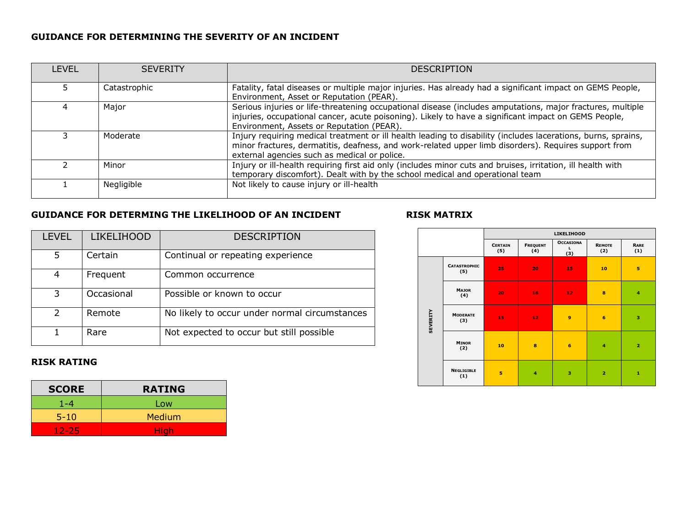### **GUIDANCE FOR DETERMINING THE SEVERITY OF AN INCIDENT**

| <b>LEVEL</b> | <b>SEVERITY</b> | <b>DESCRIPTION</b>                                                                                                                                                                                                                                                    |
|--------------|-----------------|-----------------------------------------------------------------------------------------------------------------------------------------------------------------------------------------------------------------------------------------------------------------------|
|              | Catastrophic    | Fatality, fatal diseases or multiple major injuries. Has already had a significant impact on GEMS People,<br>Environment, Asset or Reputation (PEAR).                                                                                                                 |
|              | Major           | Serious injuries or life-threatening occupational disease (includes amputations, major fractures, multiple<br>injuries, occupational cancer, acute poisoning). Likely to have a significant impact on GEMS People,<br>Environment, Assets or Reputation (PEAR).       |
|              | Moderate        | Injury requiring medical treatment or ill health leading to disability (includes lacerations, burns, sprains,<br>minor fractures, dermatitis, deafness, and work-related upper limb disorders). Requires support from<br>external agencies such as medical or police. |
|              | Minor           | Injury or ill-health requiring first aid only (includes minor cuts and bruises, irritation, ill health with<br>temporary discomfort). Dealt with by the school medical and operational team                                                                           |
|              | Negligible      | Not likely to cause injury or ill-health                                                                                                                                                                                                                              |

## **GUIDANCE FOR DETERMING THE LIKELIHOOD OF AN INCIDENT RISK MATRIX**

| <b>LEVEL</b>  | <b>LIKELIHOOD</b> | <b>DESCRIPTION</b>                            |
|---------------|-------------------|-----------------------------------------------|
| 5             | Certain           | Continual or repeating experience             |
|               | Frequent          | Common occurrence                             |
| 3             | Occasional        | Possible or known to occur                    |
| $\mathcal{P}$ | Remote            | No likely to occur under normal circumstances |
|               | Rare              | Not expected to occur but still possible      |

#### **RISK RATING**

| <b>SCORE</b> | <b>RATING</b> |
|--------------|---------------|
| $1 - 4$      | Low           |
| $5 - 10$     | <b>Medium</b> |
| $12 - 25$    | High          |

|                 |                            | <b>LIKELIHOOD</b>     |                        |                               |                      |                |  |  |  |  |  |  |  |  |  |
|-----------------|----------------------------|-----------------------|------------------------|-------------------------------|----------------------|----------------|--|--|--|--|--|--|--|--|--|
|                 |                            | <b>CERTAIN</b><br>(5) | <b>FREQUENT</b><br>(4) | <b>OCCASIONA</b><br>L.<br>(3) | <b>REMOTE</b><br>(2) | RARE<br>(1)    |  |  |  |  |  |  |  |  |  |
|                 | <b>CATASTROPHIC</b><br>(5) | 25                    | 20                     | 15                            | 10                   | 5              |  |  |  |  |  |  |  |  |  |
|                 | <b>MAJOR</b><br>(4)        | 20                    | 16                     | 12                            | 8                    | $\overline{4}$ |  |  |  |  |  |  |  |  |  |
| <b>SEVERITY</b> | <b>MODERATE</b><br>(3)     | 15                    | 12                     | $\overline{9}$                | 6                    | з              |  |  |  |  |  |  |  |  |  |
|                 | <b>MINOR</b><br>(2)        | 10                    | 8                      | 6                             | $\overline{4}$       | $\overline{2}$ |  |  |  |  |  |  |  |  |  |
|                 | <b>NEGLIGIBLE</b><br>(1)   | 5                     | $\overline{4}$         | з                             | $\overline{2}$       | 1              |  |  |  |  |  |  |  |  |  |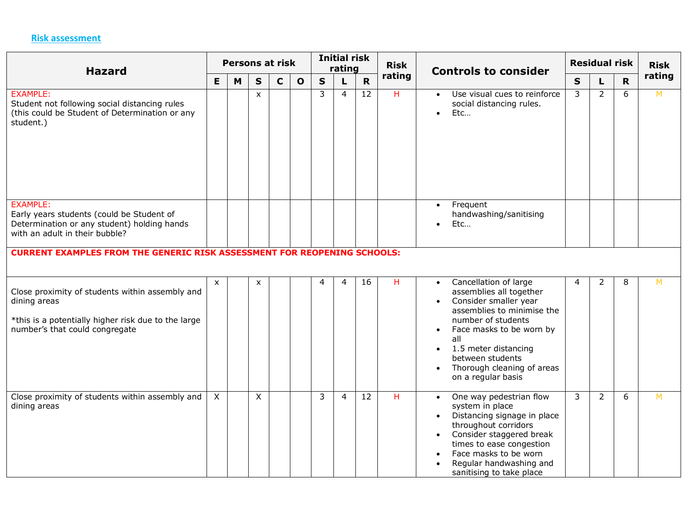# **Risk assessment**

| <b>Hazard</b><br><b>EXAMPLE:</b>                                                                                                                         |          |   | Persons at risk |             |              | <b>Initial risk</b><br>rating |                |             | <b>Risk</b> | <b>Controls to consider</b>                                                                                                                                                                                                                                                   |                | <b>Residual risk</b> | <b>Risk</b> |        |
|----------------------------------------------------------------------------------------------------------------------------------------------------------|----------|---|-----------------|-------------|--------------|-------------------------------|----------------|-------------|-------------|-------------------------------------------------------------------------------------------------------------------------------------------------------------------------------------------------------------------------------------------------------------------------------|----------------|----------------------|-------------|--------|
|                                                                                                                                                          |          | M | S               | $\mathbf C$ | $\mathbf{o}$ | $\mathsf{s}$                  | L              | $\mathbf R$ | rating      |                                                                                                                                                                                                                                                                               |                | L                    | R           | rating |
| Student not following social distancing rules<br>(this could be Student of Determination or any<br>student.)                                             |          |   | $\pmb{\times}$  |             |              | 3                             | $\overline{4}$ | 12          | H           | Use visual cues to reinforce<br>social distancing rules.<br>Etc<br>$\bullet$                                                                                                                                                                                                  | 3              | $\overline{2}$       | 6           | M      |
| <b>EXAMPLE:</b><br>Early years students (could be Student of<br>Determination or any student) holding hands<br>with an adult in their bubble?            |          |   |                 |             |              |                               |                |             |             | Frequent<br>handwashing/sanitising<br>Etc                                                                                                                                                                                                                                     |                |                      |             |        |
| <b>CURRENT EXAMPLES FROM THE GENERIC RISK ASSESSMENT FOR REOPENING SCHOOLS:</b>                                                                          |          |   |                 |             |              |                               |                |             |             |                                                                                                                                                                                                                                                                               |                |                      |             |        |
| Close proximity of students within assembly and<br>dining areas<br>*this is a potentially higher risk due to the large<br>number's that could congregate | X        |   | X               |             |              | 4                             | 4              | 16          | н           | Cancellation of large<br>$\bullet$<br>assemblies all together<br>Consider smaller year<br>assemblies to minimise the<br>number of students<br>Face masks to be worn by<br>all<br>1.5 meter distancing<br>between students<br>Thorough cleaning of areas<br>on a regular basis | $\overline{4}$ | 2                    | 8           | M      |
| Close proximity of students within assembly and<br>dining areas                                                                                          | $\times$ |   | X               |             |              | 3                             | $\overline{4}$ | 12          | H.          | One way pedestrian flow<br>$\bullet$<br>system in place<br>Distancing signage in place<br>throughout corridors<br>Consider staggered break<br>times to ease congestion<br>Face masks to be worn<br>Regular handwashing and<br>sanitising to take place                        | 3              | $\overline{2}$       | 6           | M      |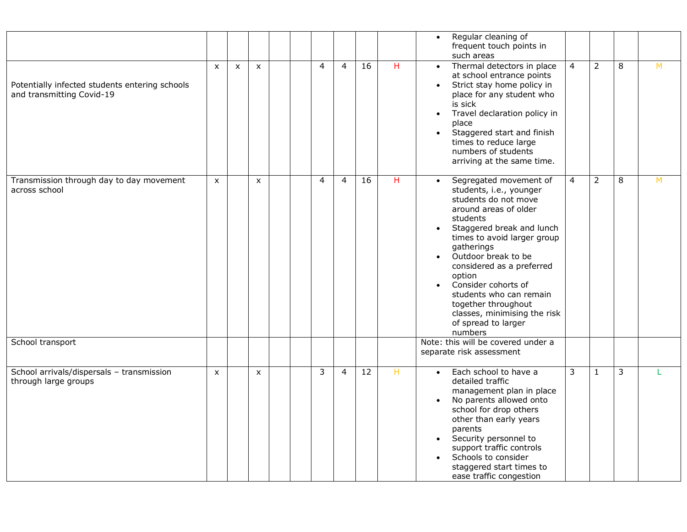|                                                                             |                           |   |                |  |                |                |                 |    | Regular cleaning of<br>frequent touch points in<br>such areas                                                                                                                                                                                                                                                                                                                                                  |                |                |   |    |
|-----------------------------------------------------------------------------|---------------------------|---|----------------|--|----------------|----------------|-----------------|----|----------------------------------------------------------------------------------------------------------------------------------------------------------------------------------------------------------------------------------------------------------------------------------------------------------------------------------------------------------------------------------------------------------------|----------------|----------------|---|----|
| Potentially infected students entering schools<br>and transmitting Covid-19 | $\boldsymbol{\mathsf{x}}$ | X | $\pmb{\times}$ |  | $\overline{4}$ | $\overline{4}$ | $\overline{16}$ | H  | Thermal detectors in place<br>at school entrance points<br>Strict stay home policy in<br>place for any student who<br>is sick<br>Travel declaration policy in<br>place<br>Staggered start and finish<br>$\bullet$<br>times to reduce large<br>numbers of students<br>arriving at the same time.                                                                                                                | $\overline{4}$ | $\overline{2}$ | 8 | M  |
| Transmission through day to day movement<br>across school                   | $\mathsf{x}$              |   | $\mathsf{x}$   |  | $\overline{4}$ | $\overline{4}$ | 16              | H  | Segregated movement of<br>$\bullet$<br>students, i.e., younger<br>students do not move<br>around areas of older<br>students<br>Staggered break and lunch<br>times to avoid larger group<br>gatherings<br>Outdoor break to be<br>considered as a preferred<br>option<br>Consider cohorts of<br>students who can remain<br>together throughout<br>classes, minimising the risk<br>of spread to larger<br>numbers | $\overline{4}$ | $\overline{2}$ | 8 | M  |
| School transport                                                            |                           |   |                |  |                |                |                 |    | Note: this will be covered under a<br>separate risk assessment                                                                                                                                                                                                                                                                                                                                                 |                |                |   |    |
| School arrivals/dispersals - transmission<br>through large groups           | $\mathsf{x}$              |   | $\mathsf{x}$   |  | $\overline{3}$ | $\overline{4}$ | $\overline{12}$ | H. | Each school to have a<br>$\bullet$<br>detailed traffic<br>management plan in place<br>No parents allowed onto<br>school for drop others<br>other than early years<br>parents<br>Security personnel to<br>support traffic controls<br>Schools to consider<br>staggered start times to<br>ease traffic congestion                                                                                                | $\overline{3}$ | $\mathbf{1}$   | 3 | T. |